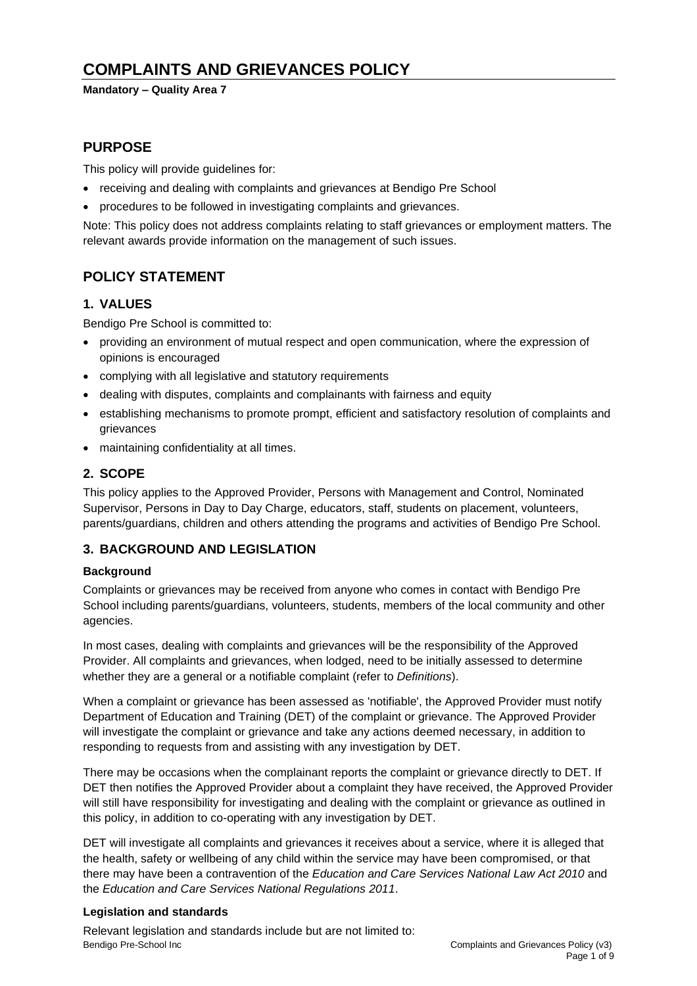# **COMPLAINTS AND GRIEVANCES POLICY**

#### **Mandatory – Quality Area 7**

# **PURPOSE**

This policy will provide guidelines for:

- receiving and dealing with complaints and grievances at Bendigo Pre School
- procedures to be followed in investigating complaints and grievances.

Note: This policy does not address complaints relating to staff grievances or employment matters. The relevant awards provide information on the management of such issues.

# **POLICY STATEMENT**

## **1. VALUES**

Bendigo Pre School is committed to:

- providing an environment of mutual respect and open communication, where the expression of opinions is encouraged
- complying with all legislative and statutory requirements
- dealing with disputes, complaints and complainants with fairness and equity
- establishing mechanisms to promote prompt, efficient and satisfactory resolution of complaints and grievances
- maintaining confidentiality at all times.

## **2. SCOPE**

This policy applies to the Approved Provider, Persons with Management and Control, Nominated Supervisor, Persons in Day to Day Charge, educators, staff, students on placement, volunteers, parents/guardians, children and others attending the programs and activities of Bendigo Pre School.

## **3. BACKGROUND AND LEGISLATION**

## **Background**

Complaints or grievances may be received from anyone who comes in contact with Bendigo Pre School including parents/guardians, volunteers, students, members of the local community and other agencies.

In most cases, dealing with complaints and grievances will be the responsibility of the Approved Provider. All complaints and grievances, when lodged, need to be initially assessed to determine whether they are a general or a notifiable complaint (refer to *Definitions*).

When a complaint or grievance has been assessed as 'notifiable', the Approved Provider must notify Department of Education and Training (DET) of the complaint or grievance. The Approved Provider will investigate the complaint or grievance and take any actions deemed necessary, in addition to responding to requests from and assisting with any investigation by DET.

There may be occasions when the complainant reports the complaint or grievance directly to DET. If DET then notifies the Approved Provider about a complaint they have received, the Approved Provider will still have responsibility for investigating and dealing with the complaint or grievance as outlined in this policy, in addition to co-operating with any investigation by DET.

DET will investigate all complaints and grievances it receives about a service, where it is alleged that the health, safety or wellbeing of any child within the service may have been compromised, or that there may have been a contravention of the *Education and Care Services National Law Act 2010* and the *Education and Care Services National Regulations 2011*.

## **Legislation and standards**

Bendigo Pre-School Inc Complaints and Grievances Policy (v3) Relevant legislation and standards include but are not limited to: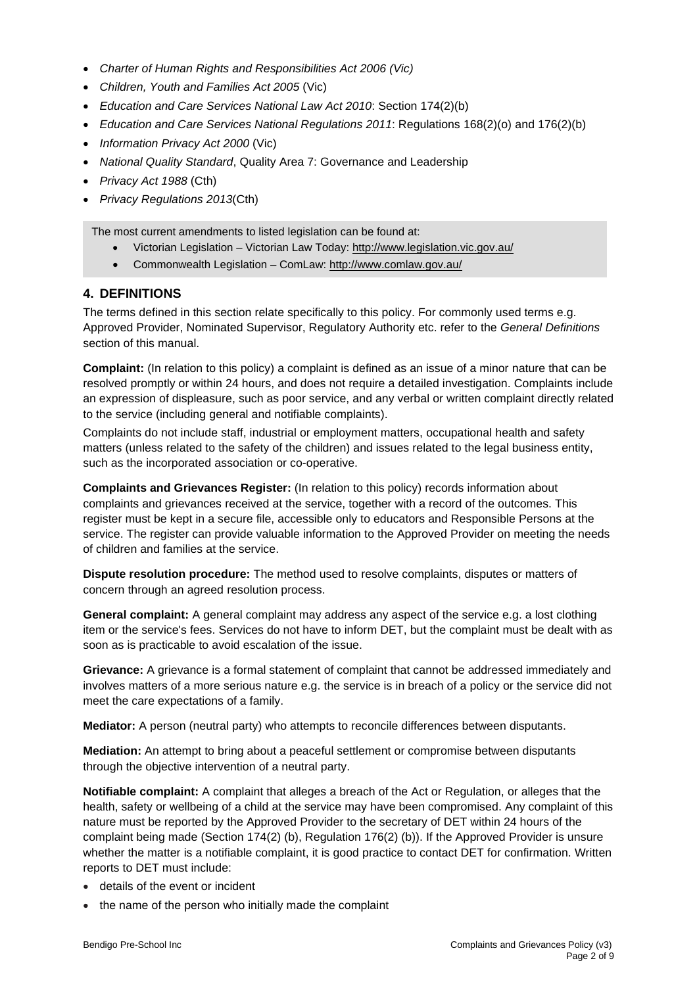- *Charter of Human Rights and Responsibilities Act 2006 (Vic)*
- *Children, Youth and Families Act 2005* (Vic)
- *Education and Care Services National Law Act 2010*: Section 174(2)(b)
- *Education and Care Services National Regulations 2011*: Regulations 168(2)(o) and 176(2)(b)
- *Information Privacy Act 2000* (Vic)
- *National Quality Standard*, Quality Area 7: Governance and Leadership
- *Privacy Act 1988* (Cth)
- *Privacy Regulations 2013*(Cth)

The most current amendments to listed legislation can be found at:

- Victorian Legislation Victorian Law Today: <http://www.legislation.vic.gov.au/>
- Commonwealth Legislation ComLaw: <http://www.comlaw.gov.au/>

## **4. DEFINITIONS**

The terms defined in this section relate specifically to this policy. For commonly used terms e.g. Approved Provider, Nominated Supervisor, Regulatory Authority etc. refer to the *General Definitions* section of this manual.

**Complaint:** (In relation to this policy) a complaint is defined as an issue of a minor nature that can be resolved promptly or within 24 hours, and does not require a detailed investigation. Complaints include an expression of displeasure, such as poor service, and any verbal or written complaint directly related to the service (including general and notifiable complaints).

Complaints do not include staff, industrial or employment matters, occupational health and safety matters (unless related to the safety of the children) and issues related to the legal business entity, such as the incorporated association or co-operative.

**Complaints and Grievances Register:** (In relation to this policy) records information about complaints and grievances received at the service, together with a record of the outcomes. This register must be kept in a secure file, accessible only to educators and Responsible Persons at the service. The register can provide valuable information to the Approved Provider on meeting the needs of children and families at the service.

**Dispute resolution procedure:** The method used to resolve complaints, disputes or matters of concern through an agreed resolution process.

**General complaint:** A general complaint may address any aspect of the service e.g. a lost clothing item or the service's fees. Services do not have to inform DET, but the complaint must be dealt with as soon as is practicable to avoid escalation of the issue.

**Grievance:** A grievance is a formal statement of complaint that cannot be addressed immediately and involves matters of a more serious nature e.g. the service is in breach of a policy or the service did not meet the care expectations of a family.

**Mediator:** A person (neutral party) who attempts to reconcile differences between disputants.

**Mediation:** An attempt to bring about a peaceful settlement or compromise between disputants through the objective intervention of a neutral party.

**Notifiable complaint:** A complaint that alleges a breach of the Act or Regulation, or alleges that the health, safety or wellbeing of a child at the service may have been compromised. Any complaint of this nature must be reported by the Approved Provider to the secretary of DET within 24 hours of the complaint being made (Section 174(2) (b), Regulation 176(2) (b)). If the Approved Provider is unsure whether the matter is a notifiable complaint, it is good practice to contact DET for confirmation. Written reports to DET must include:

- details of the event or incident
- the name of the person who initially made the complaint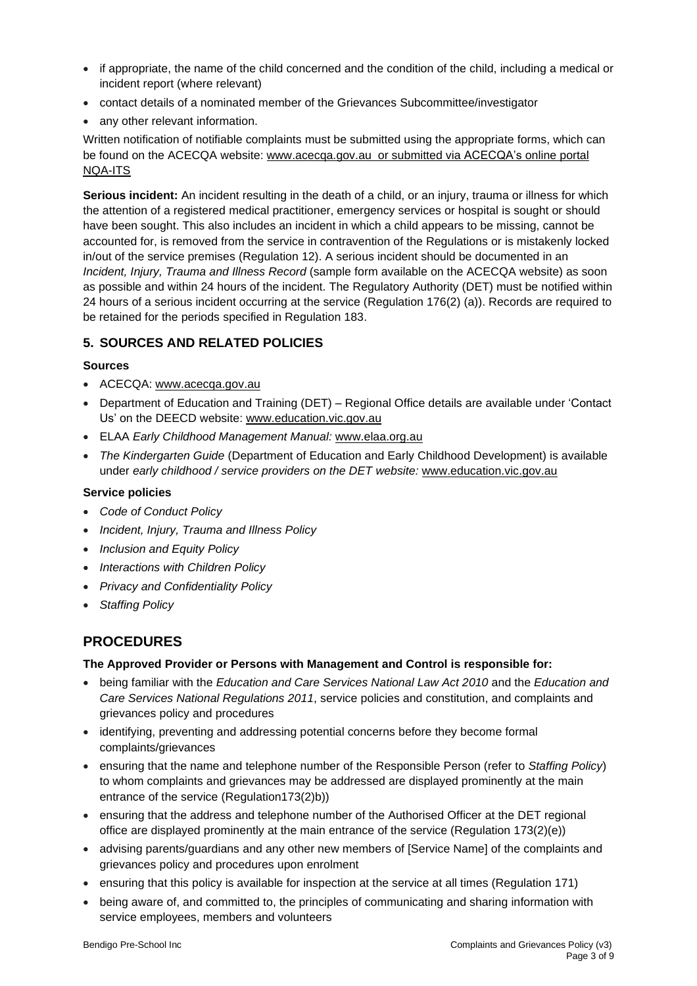- if appropriate, the name of the child concerned and the condition of the child, including a medical or incident report (where relevant)
- contact details of a nominated member of the Grievances Subcommittee/investigator
- any other relevant information.

Written notification of notifiable complaints must be submitted using the appropriate forms, which can be found on the ACECQA website: [www.acecqa.gov.au](http://www.acecqa.gov.au/) or submitted via ACECQA's online portal NQA-ITS

**Serious incident:** An incident resulting in the death of a child, or an injury, trauma or illness for which the attention of a registered medical practitioner, emergency services or hospital is sought or should have been sought. This also includes an incident in which a child appears to be missing, cannot be accounted for, is removed from the service in contravention of the Regulations or is mistakenly locked in/out of the service premises (Regulation 12). A serious incident should be documented in an *Incident, Injury, Trauma and Illness Record* (sample form available on the ACECQA website) as soon as possible and within 24 hours of the incident. The Regulatory Authority (DET) must be notified within 24 hours of a serious incident occurring at the service (Regulation 176(2) (a)). Records are required to be retained for the periods specified in Regulation 183.

## **5. SOURCES AND RELATED POLICIES**

## **Sources**

- ACECQA: [www.acecqa.gov.au](http://www.acecqa.gov.au/)
- Department of Education and Training (DET) Regional Office details are available under 'Contact Us' on the DEECD website: [www.education.vic.gov.au](http://www.education.vic.gov.au/)
- ELAA *Early Childhood Management Manual:* [www.elaa.org.au](http://www.elaa.org.au/)
- *The Kindergarten Guide* (Department of Education and Early Childhood Development) is available under *early childhood / service providers on the DET website:* [www.education.vic.gov.au](http://www.education.vic.gov.au/)

## **Service policies**

- *Code of Conduct Policy*
- *Incident, Injury, Trauma and Illness Policy*
- *Inclusion and Equity Policy*
- *Interactions with Children Policy*
- *Privacy and Confidentiality Policy*
- *Staffing Policy*

# **PROCEDURES**

## **The Approved Provider or Persons with Management and Control is responsible for:**

- being familiar with the *Education and Care Services National Law Act 2010* and the *Education and Care Services National Regulations 2011*, service policies and constitution, and complaints and grievances policy and procedures
- identifying, preventing and addressing potential concerns before they become formal complaints/grievances
- ensuring that the name and telephone number of the Responsible Person (refer to *Staffing Policy*) to whom complaints and grievances may be addressed are displayed prominently at the main entrance of the service (Regulation173(2)b))
- ensuring that the address and telephone number of the Authorised Officer at the DET regional office are displayed prominently at the main entrance of the service (Regulation 173(2)(e))
- advising parents/guardians and any other new members of [Service Name] of the complaints and grievances policy and procedures upon enrolment
- ensuring that this policy is available for inspection at the service at all times (Regulation 171)
- being aware of, and committed to, the principles of communicating and sharing information with service employees, members and volunteers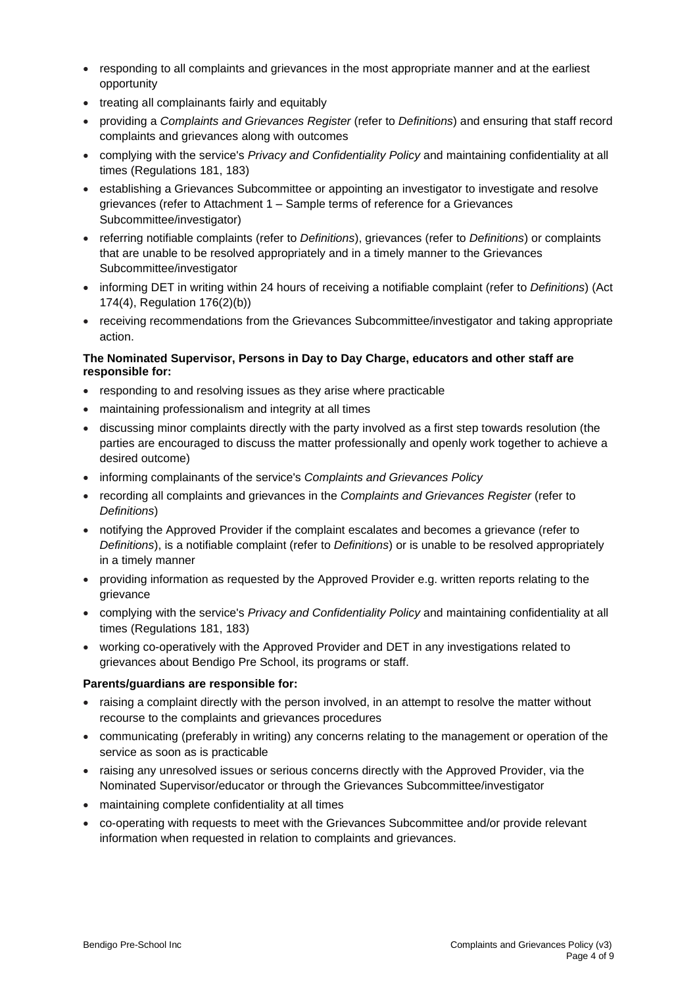- responding to all complaints and grievances in the most appropriate manner and at the earliest opportunity
- treating all complainants fairly and equitably
- providing a *Complaints and Grievances Register* (refer to *Definitions*) and ensuring that staff record complaints and grievances along with outcomes
- complying with the service's *Privacy and Confidentiality Policy* and maintaining confidentiality at all times (Regulations 181, 183)
- establishing a Grievances Subcommittee or appointing an investigator to investigate and resolve grievances (refer to Attachment 1 – Sample terms of reference for a Grievances Subcommittee/investigator)
- referring notifiable complaints (refer to *Definitions*), grievances (refer to *Definitions*) or complaints that are unable to be resolved appropriately and in a timely manner to the Grievances Subcommittee/investigator
- informing DET in writing within 24 hours of receiving a notifiable complaint (refer to *Definitions*) (Act 174(4), Regulation 176(2)(b))
- receiving recommendations from the Grievances Subcommittee/investigator and taking appropriate action.

## **The Nominated Supervisor, Persons in Day to Day Charge, educators and other staff are responsible for:**

- responding to and resolving issues as they arise where practicable
- maintaining professionalism and integrity at all times
- discussing minor complaints directly with the party involved as a first step towards resolution (the parties are encouraged to discuss the matter professionally and openly work together to achieve a desired outcome)
- informing complainants of the service's *Complaints and Grievances Policy*
- recording all complaints and grievances in the *Complaints and Grievances Register* (refer to *Definitions*)
- notifying the Approved Provider if the complaint escalates and becomes a grievance (refer to *Definitions*), is a notifiable complaint (refer to *Definitions*) or is unable to be resolved appropriately in a timely manner
- providing information as requested by the Approved Provider e.g. written reports relating to the grievance
- complying with the service's *Privacy and Confidentiality Policy* and maintaining confidentiality at all times (Regulations 181, 183)
- working co-operatively with the Approved Provider and DET in any investigations related to grievances about Bendigo Pre School, its programs or staff.

## **Parents/guardians are responsible for:**

- raising a complaint directly with the person involved, in an attempt to resolve the matter without recourse to the complaints and grievances procedures
- communicating (preferably in writing) any concerns relating to the management or operation of the service as soon as is practicable
- raising any unresolved issues or serious concerns directly with the Approved Provider, via the Nominated Supervisor/educator or through the Grievances Subcommittee/investigator
- maintaining complete confidentiality at all times
- co-operating with requests to meet with the Grievances Subcommittee and/or provide relevant information when requested in relation to complaints and grievances.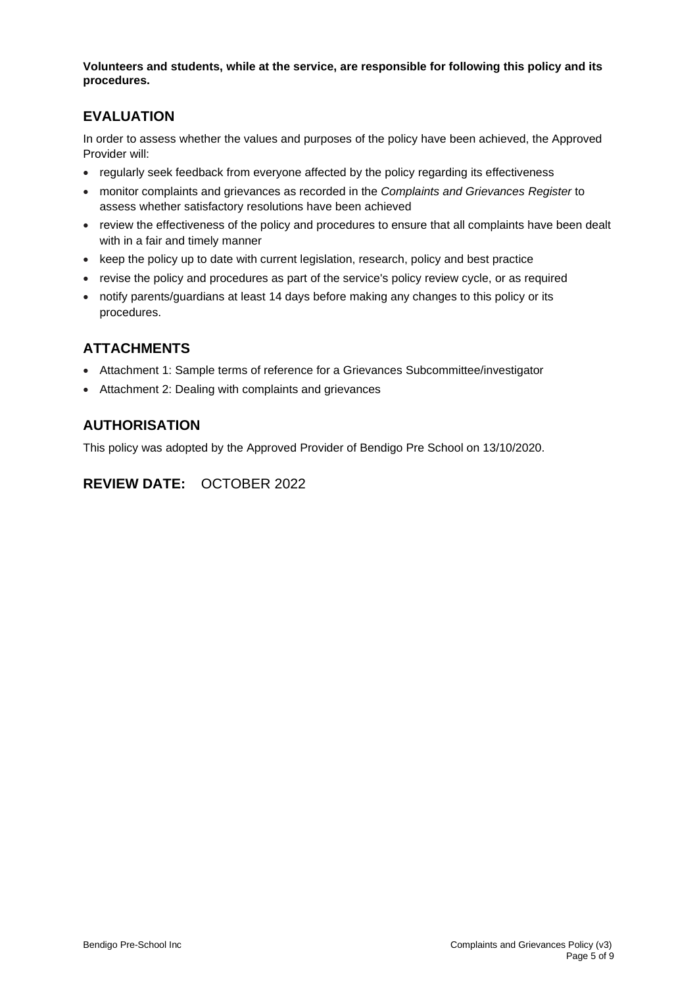**Volunteers and students, while at the service, are responsible for following this policy and its procedures.**

# **EVALUATION**

In order to assess whether the values and purposes of the policy have been achieved, the Approved Provider will:

- regularly seek feedback from everyone affected by the policy regarding its effectiveness
- monitor complaints and grievances as recorded in the *Complaints and Grievances Register* to assess whether satisfactory resolutions have been achieved
- review the effectiveness of the policy and procedures to ensure that all complaints have been dealt with in a fair and timely manner
- keep the policy up to date with current legislation, research, policy and best practice
- revise the policy and procedures as part of the service's policy review cycle, or as required
- notify parents/guardians at least 14 days before making any changes to this policy or its procedures.

# **ATTACHMENTS**

- Attachment 1: Sample terms of reference for a Grievances Subcommittee/investigator
- Attachment 2: Dealing with complaints and grievances

# **AUTHORISATION**

This policy was adopted by the Approved Provider of Bendigo Pre School on 13/10/2020.

# **REVIEW DATE:** OCTOBER 2022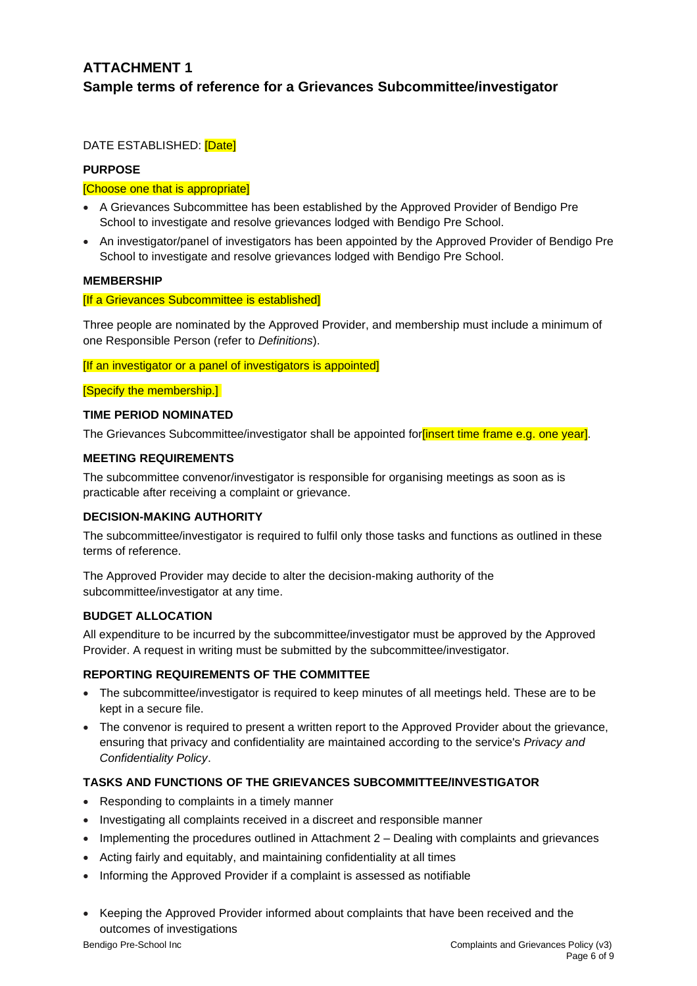# **ATTACHMENT 1 Sample terms of reference for a Grievances Subcommittee/investigator**

DATE ESTABLISHED: [Date]

## **PURPOSE**

#### [Choose one that is appropriate]

- A Grievances Subcommittee has been established by the Approved Provider of Bendigo Pre School to investigate and resolve grievances lodged with Bendigo Pre School.
- An investigator/panel of investigators has been appointed by the Approved Provider of Bendigo Pre School to investigate and resolve grievances lodged with Bendigo Pre School.

## **MEMBERSHIP**

#### [If a Grievances Subcommittee is established]

Three people are nominated by the Approved Provider, and membership must include a minimum of one Responsible Person (refer to *Definitions*).

#### [If an investigator or a panel of investigators is appointed]

[Specify the membership.]

#### **TIME PERIOD NOMINATED**

The Grievances Subcommittee/investigator shall be appointed for *finsert time frame e.g.* one year].

## **MEETING REQUIREMENTS**

The subcommittee convenor/investigator is responsible for organising meetings as soon as is practicable after receiving a complaint or grievance.

#### **DECISION-MAKING AUTHORITY**

The subcommittee/investigator is required to fulfil only those tasks and functions as outlined in these terms of reference.

The Approved Provider may decide to alter the decision-making authority of the subcommittee/investigator at any time.

## **BUDGET ALLOCATION**

All expenditure to be incurred by the subcommittee/investigator must be approved by the Approved Provider. A request in writing must be submitted by the subcommittee/investigator.

## **REPORTING REQUIREMENTS OF THE COMMITTEE**

- The subcommittee/investigator is required to keep minutes of all meetings held. These are to be kept in a secure file.
- The convenor is required to present a written report to the Approved Provider about the grievance, ensuring that privacy and confidentiality are maintained according to the service's *Privacy and Confidentiality Policy*.

## **TASKS AND FUNCTIONS OF THE GRIEVANCES SUBCOMMITTEE/INVESTIGATOR**

- Responding to complaints in a timely manner
- Investigating all complaints received in a discreet and responsible manner
- Implementing the procedures outlined in Attachment 2 Dealing with complaints and grievances
- Acting fairly and equitably, and maintaining confidentiality at all times
- Informing the Approved Provider if a complaint is assessed as notifiable
- Keeping the Approved Provider informed about complaints that have been received and the outcomes of investigations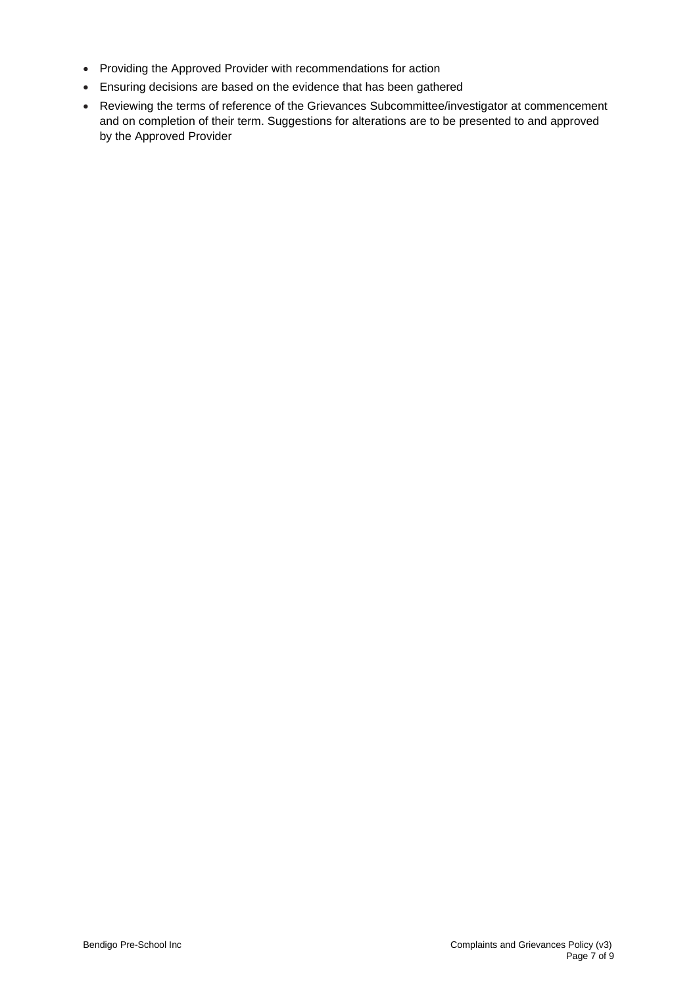- Providing the Approved Provider with recommendations for action
- Ensuring decisions are based on the evidence that has been gathered
- Reviewing the terms of reference of the Grievances Subcommittee/investigator at commencement and on completion of their term. Suggestions for alterations are to be presented to and approved by the Approved Provider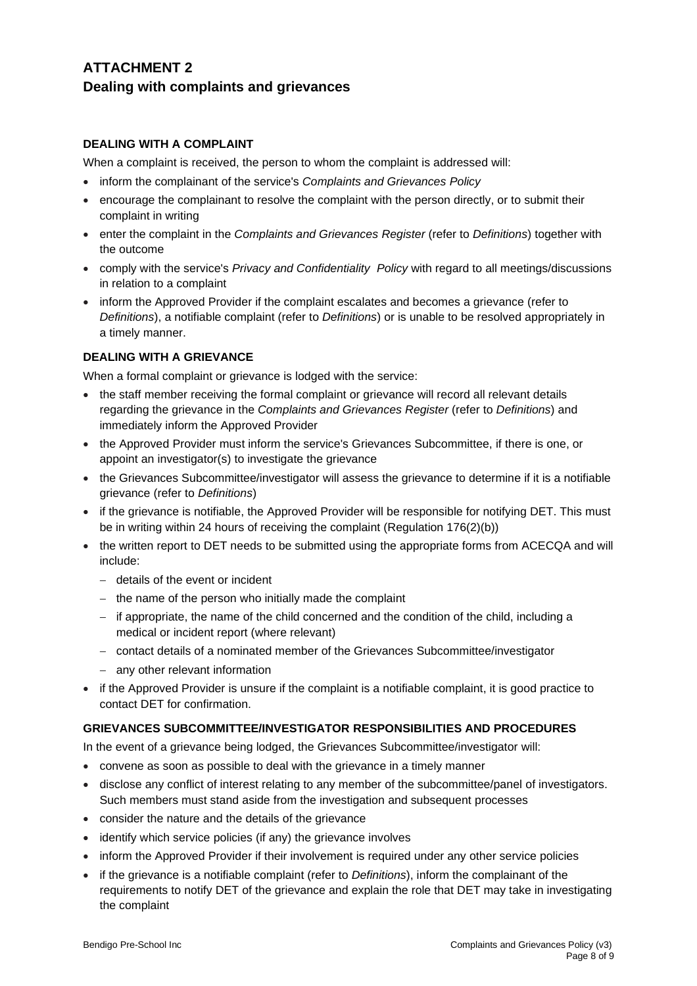# **ATTACHMENT 2 Dealing with complaints and grievances**

## **DEALING WITH A COMPLAINT**

When a complaint is received, the person to whom the complaint is addressed will:

- inform the complainant of the service's *Complaints and Grievances Policy*
- encourage the complainant to resolve the complaint with the person directly, or to submit their complaint in writing
- enter the complaint in the *Complaints and Grievances Register* (refer to *Definitions*) together with the outcome
- comply with the service's *Privacy and Confidentiality Policy* with regard to all meetings/discussions in relation to a complaint
- inform the Approved Provider if the complaint escalates and becomes a grievance (refer to *Definitions*), a notifiable complaint (refer to *Definitions*) or is unable to be resolved appropriately in a timely manner.

## **DEALING WITH A GRIEVANCE**

When a formal complaint or grievance is lodged with the service:

- the staff member receiving the formal complaint or grievance will record all relevant details regarding the grievance in the *Complaints and Grievances Register* (refer to *Definitions*) and immediately inform the Approved Provider
- the Approved Provider must inform the service's Grievances Subcommittee, if there is one, or appoint an investigator(s) to investigate the grievance
- the Grievances Subcommittee/investigator will assess the grievance to determine if it is a notifiable grievance (refer to *Definitions*)
- if the grievance is notifiable, the Approved Provider will be responsible for notifying DET. This must be in writing within 24 hours of receiving the complaint (Regulation 176(2)(b))
- the written report to DET needs to be submitted using the appropriate forms from ACECQA and will include:
	- − details of the event or incident
	- − the name of the person who initially made the complaint
	- − if appropriate, the name of the child concerned and the condition of the child, including a medical or incident report (where relevant)
	- − contact details of a nominated member of the Grievances Subcommittee/investigator
	- − any other relevant information
- if the Approved Provider is unsure if the complaint is a notifiable complaint, it is good practice to contact DET for confirmation.

## **GRIEVANCES SUBCOMMITTEE/INVESTIGATOR RESPONSIBILITIES AND PROCEDURES**

In the event of a grievance being lodged, the Grievances Subcommittee/investigator will:

- convene as soon as possible to deal with the grievance in a timely manner
- disclose any conflict of interest relating to any member of the subcommittee/panel of investigators. Such members must stand aside from the investigation and subsequent processes
- consider the nature and the details of the grievance
- identify which service policies (if any) the grievance involves
- inform the Approved Provider if their involvement is required under any other service policies
- if the grievance is a notifiable complaint (refer to *Definitions*), inform the complainant of the requirements to notify DET of the grievance and explain the role that DET may take in investigating the complaint